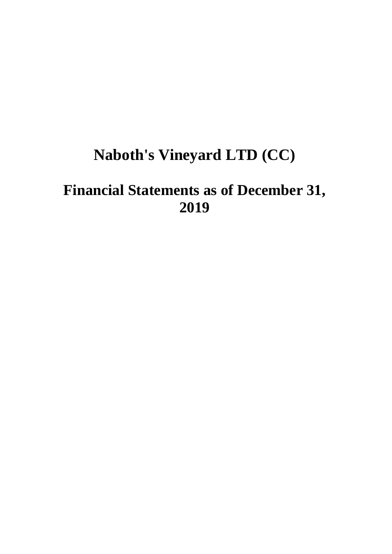# **Naboth's Vineyard LTD (CC)**

# **Financial Statements as of December 31, 2019**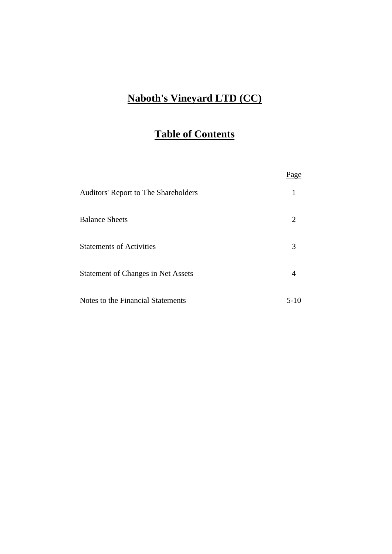# **Naboth's Vineyard LTD (CC)**

# **Table of Contents**

| <b>Auditors' Report to The Shareholders</b> |         |
|---------------------------------------------|---------|
| <b>Balance Sheets</b>                       | 2       |
| <b>Statements of Activities</b>             | 3       |
| <b>Statement of Changes in Net Assets</b>   | 4       |
| Notes to the Financial Statements           | $5-1()$ |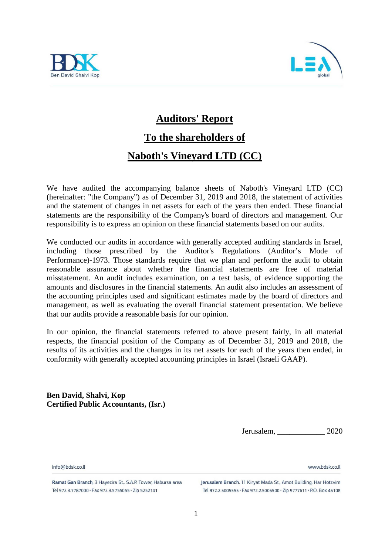



# **Auditors' Report**

# **To the shareholders of**

## **Naboth's Vineyard LTD (CC)**

We have audited the accompanying balance sheets of Naboth's Vineyard LTD (CC) (hereinafter: "the Company") as of December 31, 2019 and 2018, the statement of activities and the statement of changes in net assets for each of the years then ended. These financial statements are the responsibility of the Company's board of directors and management. Our responsibility is to express an opinion on these financial statements based on our audits.

We conducted our audits in accordance with generally accepted auditing standards in Israel, including those prescribed by the Auditor's Regulations (Auditor's Mode of Performance)-1973. Those standards require that we plan and perform the audit to obtain reasonable assurance about whether the financial statements are free of material misstatement. An audit includes examination, on a test basis, of evidence supporting the amounts and disclosures in the financial statements. An audit also includes an assessment of the accounting principles used and significant estimates made by the board of directors and management, as well as evaluating the overall financial statement presentation. We believe that our audits provide a reasonable basis for our opinion.

In our opinion, the financial statements referred to above present fairly, in all material respects, the financial position of the Company as of December 31, 2019 and 2018, the results of its activities and the changes in its net assets for each of the years then ended, in conformity with generally accepted accounting principles in Israel (Israeli GAAP).

**Ben David, Shalvi, Kop Certified Public Accountants, (Isr.)**

Jerusalem, \_\_\_\_\_\_\_\_\_\_\_\_ 2020

www.hdsk.co.il

info@hdsk.co.il

Ramat Gan Branch, 3 Hayezira St., S.A.P. Tower, Habursa area Tel 972.3.7787000 · Fax 972.3.5755055 · Zip 5252141

Jerusalem Branch, 11 Kiryat Mada St., Amot Building, Har Hotzvim Tel 972.2.5005555 · Fax 972.2.5005500 · Zip 9777611 · P.O. Box 45108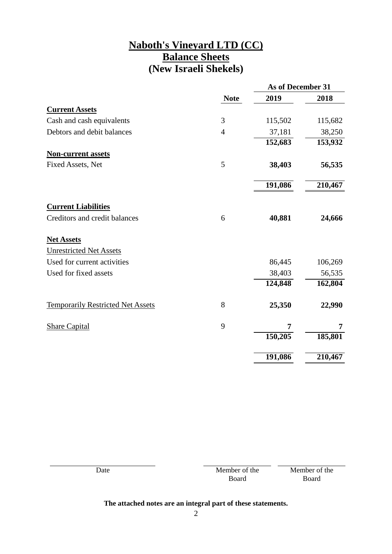### **Naboth's Vineyard LTD (CC) Balance Sheets (New Israeli Shekels)**

|                                          |                | As of December 31 |         |
|------------------------------------------|----------------|-------------------|---------|
|                                          | <b>Note</b>    | 2019              | 2018    |
| <b>Current Assets</b>                    |                |                   |         |
| Cash and cash equivalents                | 3              | 115,502           | 115,682 |
| Debtors and debit balances               | $\overline{4}$ | 37,181            | 38,250  |
|                                          |                | 152,683           | 153,932 |
| <b>Non-current assets</b>                |                |                   |         |
| Fixed Assets, Net                        | 5              | 38,403            | 56,535  |
|                                          |                | 191,086           | 210,467 |
|                                          |                |                   |         |
| <b>Current Liabilities</b>               |                |                   |         |
| Creditors and credit balances            | 6              | 40,881            | 24,666  |
| <b>Net Assets</b>                        |                |                   |         |
| <b>Unrestricted Net Assets</b>           |                |                   |         |
| Used for current activities              |                | 86,445            | 106,269 |
| Used for fixed assets                    |                | 38,403            | 56,535  |
|                                          |                | 124,848           | 162,804 |
| <b>Temporarily Restricted Net Assets</b> | 8              | 25,350            | 22,990  |
| <b>Share Capital</b>                     | 9              | 7                 | 7       |
|                                          |                | 150,205           | 185,801 |
|                                          |                | 191,086           | 210,467 |

| Date | Member of the | Member of the |
|------|---------------|---------------|
|      | Board         | Board         |
|      |               |               |

### **The attached notes are an integral part of these statements.**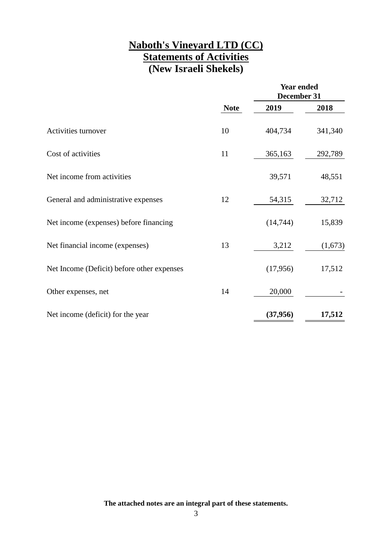## **Naboth's Vineyard LTD (CC) Statements of Activities (New Israeli Shekels)**

|                                            |             | <b>Year ended</b><br>December 31 |         |
|--------------------------------------------|-------------|----------------------------------|---------|
|                                            | <b>Note</b> | 2019                             | 2018    |
| Activities turnover                        | 10          | 404,734                          | 341,340 |
| Cost of activities                         | 11          | 365,163                          | 292,789 |
| Net income from activities                 |             | 39,571                           | 48,551  |
| General and administrative expenses        | 12          | 54,315                           | 32,712  |
| Net income (expenses) before financing     |             | (14, 744)                        | 15,839  |
| Net financial income (expenses)            | 13          | 3,212                            | (1,673) |
| Net Income (Deficit) before other expenses |             | (17,956)                         | 17,512  |
| Other expenses, net                        | 14          | 20,000                           |         |
| Net income (deficit) for the year          |             | (37, 956)                        | 17,512  |

**The attached notes are an integral part of these statements.**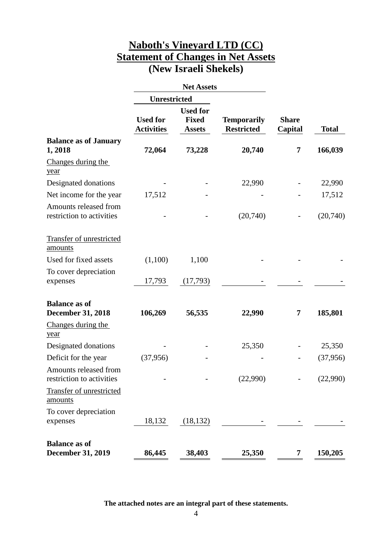## **Naboth's Vineyard LTD (CC) Statement of Changes in Net Assets (New Israeli Shekels)**

|                                                    |                                      | <b>Net Assets</b>                                |                                         |                         |              |
|----------------------------------------------------|--------------------------------------|--------------------------------------------------|-----------------------------------------|-------------------------|--------------|
|                                                    | <b>Unrestricted</b>                  |                                                  |                                         |                         |              |
|                                                    | <b>Used for</b><br><b>Activities</b> | <b>Used for</b><br><b>Fixed</b><br><b>Assets</b> | <b>Temporarily</b><br><b>Restricted</b> | <b>Share</b><br>Capital | <b>Total</b> |
| <b>Balance as of January</b><br>1,2018             | 72,064                               | 73,228                                           | 20,740                                  | 7                       | 166,039      |
| Changes during the<br>year                         |                                      |                                                  |                                         |                         |              |
| Designated donations                               |                                      |                                                  | 22,990                                  |                         | 22,990       |
| Net income for the year                            | 17,512                               |                                                  |                                         |                         | 17,512       |
| Amounts released from<br>restriction to activities |                                      |                                                  | (20,740)                                |                         | (20,740)     |
| <b>Transfer of unrestricted</b><br>amounts         |                                      |                                                  |                                         |                         |              |
| Used for fixed assets                              | (1,100)                              | 1,100                                            |                                         |                         |              |
| To cover depreciation<br>expenses                  | 17,793                               | (17,793)                                         |                                         |                         |              |
| <b>Balance as of</b><br><b>December 31, 2018</b>   | 106,269                              | 56,535                                           | 22,990                                  | 7                       | 185,801      |
| Changes during the<br>year                         |                                      |                                                  |                                         |                         |              |
| Designated donations                               |                                      |                                                  | 25,350                                  |                         | 25,350       |
| Deficit for the year                               | (37,956)                             |                                                  |                                         |                         | (37, 956)    |
| Amounts released from<br>restriction to activities |                                      |                                                  | (22,990)                                |                         | (22,990)     |
| <b>Transfer of unrestricted</b><br>amounts         |                                      |                                                  |                                         |                         |              |
| To cover depreciation<br>expenses                  | 18,132                               | (18, 132)                                        |                                         |                         |              |
| <b>Balance as of</b><br><b>December 31, 2019</b>   | 86,445                               | 38,403                                           | 25,350                                  | 7                       | 150,205      |

**The attached notes are an integral part of these statements.**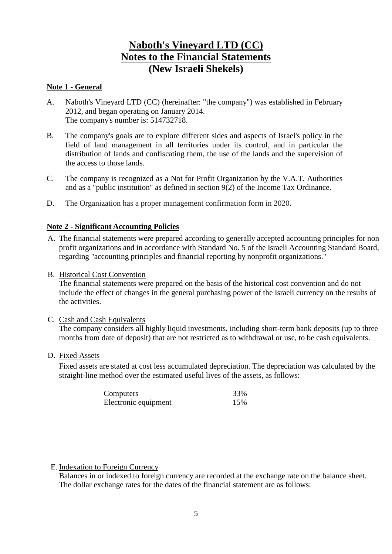#### **Note 1 - General**

- A. Naboth's Vineyard LTD (CC) (hereinafter: "the company") was established in February 2012, and began operating on January 2014. The company's number is: 514732718.
- B. The company's goals are to explore different sides and aspects of Israel's policy in the field of land management in all territories under its control, and in particular the distribution of lands and confiscating them, the use of the lands and the supervision of the access to those lands.
- C. The company is recognized as a Not for Profit Organization by the V.A.T. Authorities and as a "public institution" as defined in section 9(2) of the Income Tax Ordinance.
- D. The Organization has a proper management confirmation form in 2020.

#### **Note 2 - Significant Accounting Policies**

- A. The financial statements were prepared according to generally accepted accounting principles for non profit organizations and in accordance with Standard No. 5 of the Israeli Accounting Standard Board, regarding "accounting principles and financial reporting by nonprofit organizations."
- B. Historical Cost Convention

The financial statements were prepared on the basis of the historical cost convention and do not include the effect of changes in the general purchasing power of the Israeli currency on the results of the activities.

C. Cash and Cash Equivalents

The company considers all highly liquid investments, including short-term bank deposits (up to three months from date of deposit) that are not restricted as to withdrawal or use, to be cash equivalents.

D. Fixed Assets

Fixed assets are stated at cost less accumulated depreciation. The depreciation was calculated by the straight-line method over the estimated useful lives of the assets, as follows:

| Computers            | 33% |
|----------------------|-----|
| Electronic equipment | 15% |

#### E. Indexation to Foreign Currency

Balances in or indexed to foreign currency are recorded at the exchange rate on the balance sheet. The dollar exchange rates for the dates of the financial statement are as follows: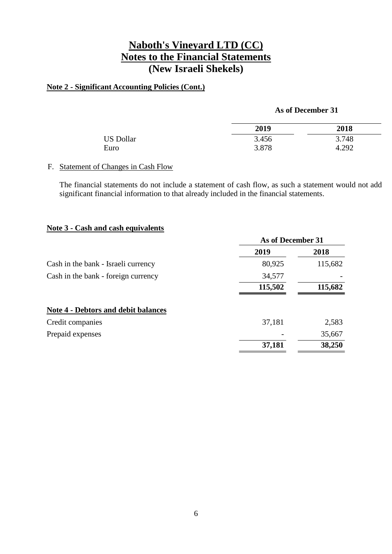### **Note 2 - Significant Accounting Policies (Cont.)**

#### **As of December 31**

|                  | 2019  | 2018  |
|------------------|-------|-------|
| <b>US Dollar</b> | 3.456 | 3.748 |
| Euro             | 3.878 | 4.292 |

#### F. Statement of Changes in Cash Flow

The financial statements do not include a statement of cash flow, as such a statement would not add significant financial information to that already included in the financial statements.

#### **Note 3 - Cash and cash equivalents**

|                                            |         | As of December 31 |  |
|--------------------------------------------|---------|-------------------|--|
|                                            | 2019    | 2018              |  |
| Cash in the bank - Israeli currency        | 80,925  | 115,682           |  |
| Cash in the bank - foreign currency        | 34,577  |                   |  |
|                                            | 115,502 | 115,682           |  |
| <b>Note 4 - Debtors and debit balances</b> |         |                   |  |
| Credit companies                           | 37,181  | 2,583             |  |
| Prepaid expenses                           |         | 35,667            |  |
|                                            | 37,181  | 38,250            |  |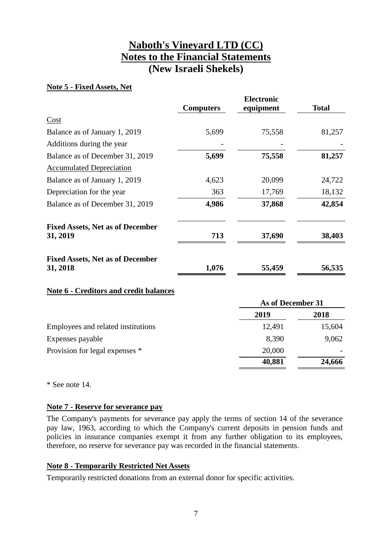#### **Note 5 - Fixed Assets, Net**

|                                                     | <b>Computers</b> | <b>Electronic</b><br>equipment | <b>Total</b> |
|-----------------------------------------------------|------------------|--------------------------------|--------------|
| Cost                                                |                  |                                |              |
| Balance as of January 1, 2019                       | 5,699            | 75,558                         | 81,257       |
| Additions during the year                           |                  |                                |              |
| Balance as of December 31, 2019                     | 5,699            | 75,558                         | 81,257       |
| <b>Accumulated Depreciation</b>                     |                  |                                |              |
| Balance as of January 1, 2019                       | 4,623            | 20,099                         | 24,722       |
| Depreciation for the year                           | 363              | 17,769                         | 18,132       |
| Balance as of December 31, 2019                     | 4,986            | 37,868                         | 42,854       |
| <b>Fixed Assets, Net as of December</b><br>31, 2019 | 713              | 37,690                         | 38,403       |
| <b>Fixed Assets, Net as of December</b><br>31, 2018 | 1,076            | 55,459                         | 56,535       |

### **Note 6 - Creditors and credit balances**

| As of December 31 |        |
|-------------------|--------|
| 2019              | 2018   |
| 12,491            | 15,604 |
| 8,390             | 9,062  |
| 20,000            |        |
| 40,881            | 24,666 |
|                   |        |

\* See note 14.

### **Note 7 - Reserve for severance pay**

The Company's payments for severance pay apply the terms of section 14 of the severance pay law, 1963, according to which the Company's current deposits in pension funds and policies in insurance companies exempt it from any further obligation to its employees, therefore, no reserve for severance pay was recorded in the financial statements.

#### **Note 8 - Temporarily Restricted Net Assets**

Temporarily restricted donations from an external donor for specific activities.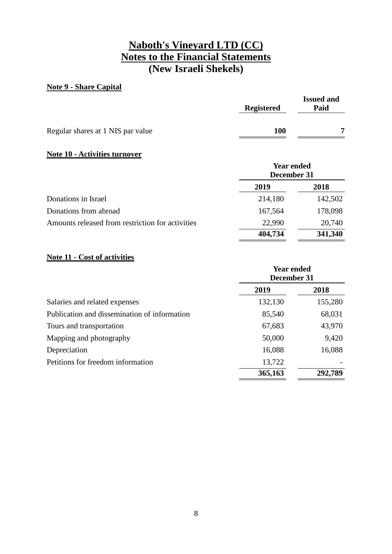#### **Note 9 - Share Capital**

|                                   | <b>Registered</b> | <b>Issued and</b><br>Paid |
|-----------------------------------|-------------------|---------------------------|
| Regular shares at 1 NIS par value | <b>100</b>        | ៗ                         |

#### **Note 10 - Activities turnover**

| <b>Year ended</b><br>December 31 |         |
|----------------------------------|---------|
| 2019                             | 2018    |
| 214,180                          | 142,502 |
| 167,564                          | 178,098 |
| 22,990                           | 20,740  |
| 404,734                          | 341,340 |
|                                  |         |

### **Note 11 - Cost of activities**

|                                              | <b>Year ended</b><br>December 31 |         |
|----------------------------------------------|----------------------------------|---------|
|                                              | 2019                             | 2018    |
| Salaries and related expenses                | 132,130                          | 155,280 |
| Publication and dissemination of information | 85,540                           | 68,031  |
| Tours and transportation                     | 67,683                           | 43,970  |
| Mapping and photography                      | 50,000                           | 9,420   |
| Depreciation                                 | 16,088                           | 16,088  |
| Petitions for freedom information            | 13,722                           |         |
|                                              | 365,163                          | 292,789 |